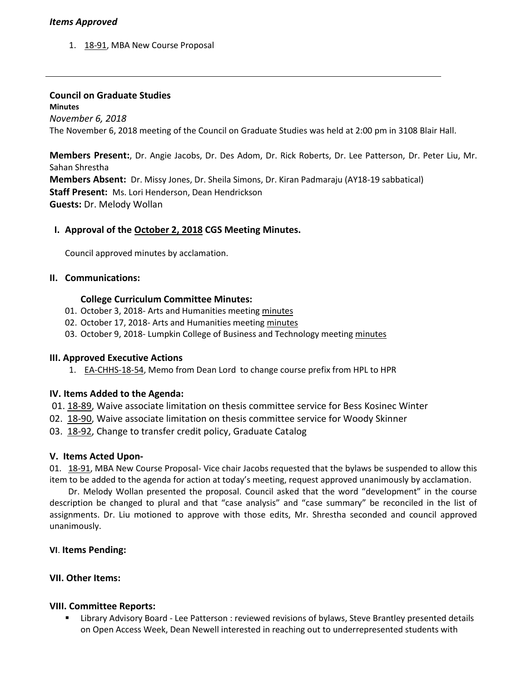# *Items Approved*

1. [18-91,](http://castle.eiu.edu/eiucgs/currentagendaitems/agenda18-91.pdf) MBA New Course Proposal

## **Council on Graduate Studies**

**Minutes** *November 6, 2018* The November 6, 2018 meeting of the Council on Graduate Studies was held at 2:00 pm in 3108 Blair Hall.

**Members Present:**, Dr. Angie Jacobs, Dr. Des Adom, Dr. Rick Roberts, Dr. Lee Patterson, Dr. Peter Liu, Mr. Sahan Shrestha **Members Absent:** Dr. Missy Jones, Dr. Sheila Simons, Dr. Kiran Padmaraju (AY18-19 sabbatical) **Staff Present:** Ms. Lori Henderson, Dean Hendrickson **Guests:** Dr. Melody Wollan

# **I. Approval of the [October 2, 2018](http://castle.eiu.edu/eiucgs/currentminutes/Minutes10-02-18.pdf) CGS Meeting Minutes.**

Council approved minutes by acclamation.

### **II. Communications:**

#### **College Curriculum Committee Minutes:**

- 01. October 3, 2018- Arts and Humanities meeting [minutes](https://www.eiu.edu/clas/curriculum_committee/cahcc/cahcc_items/ay2019/CAHCC_Minutes_10_3_18.pdf)
- 02. October 17, 2018- Arts and Humanities meeting [minutes](https://www.eiu.edu/clas/curriculum_committee/cahcc/cahcc_items/ay2019/CAHCC_Minutes_10_17_18.pdf)
- 03. October 9, 2018- Lumpkin College of Business and Technology meeting [minutes](https://www.eiu.edu/lumpkin/curriculum/lcbascurrmin20181008.pdf)

### **III. Approved Executive Actions**

1. [EA-CHHS-18-54,](http://castle.eiu.edu/eiucgs/exec-actions/EA-CHHS-18-54.pdf) Memo from Dean Lord to change course prefix from HPL to HPR

### **IV. Items Added to the Agenda:**

- 01. [18-89](http://castle.eiu.edu/eiucgs/currentagendaitems/agenda18-89.pdf), Waive associate limitation on thesis committee service for Bess Kosinec Winter
- 02. [18-90,](http://castle.eiu.edu/eiucgs/currentagendaitems/agenda18-90.pdf) Waive associate limitation on thesis committee service for Woody Skinner
- 03. [18-92,](http://castle.eiu.edu/eiucgs/currentagendaitems/agenda18-92.pdf) Change to transfer credit policy, Graduate Catalog

### **V. Items Acted Upon-**

01. [18-91,](http://castle.eiu.edu/eiucgs/currentagendaitems/agenda18-91.pdf) MBA New Course Proposal- Vice chair Jacobs requested that the bylaws be suspended to allow this item to be added to the agenda for action at today's meeting, request approved unanimously by acclamation.

Dr. Melody Wollan presented the proposal. Council asked that the word "development" in the course description be changed to plural and that "case analysis" and "case summary" be reconciled in the list of assignments. Dr. Liu motioned to approve with those edits, Mr. Shrestha seconded and council approved unanimously.

### **VI**. **Items Pending:**

### **VII. Other Items:**

### **VIII. Committee Reports:**

 Library Advisory Board - Lee Patterson : reviewed revisions of bylaws, Steve Brantley presented details on Open Access Week, Dean Newell interested in reaching out to underrepresented students with